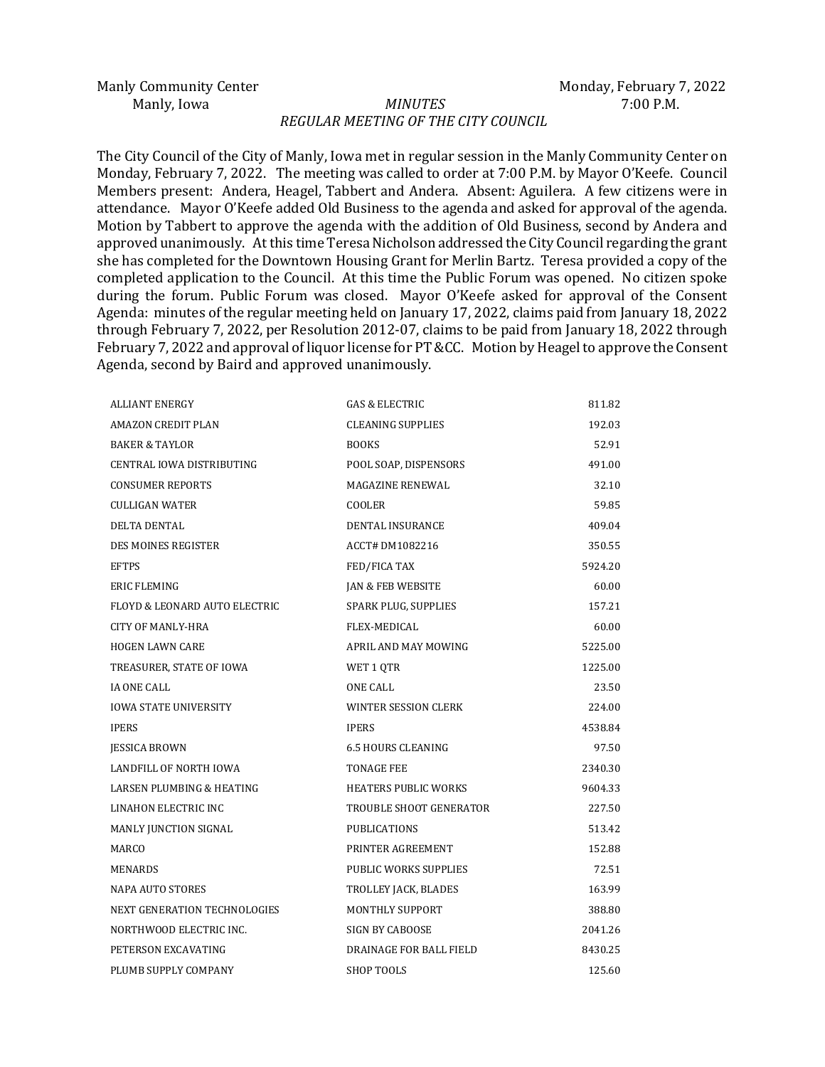#### Manly, Iowa *MINUTES* 7:00 P.M. *REGULAR MEETING OF THE CITY COUNCIL*

The City Council of the City of Manly, Iowa met in regular session in the Manly Community Center on Monday, February 7, 2022. The meeting was called to order at 7:00 P.M. by Mayor O'Keefe. Council Members present: Andera, Heagel, Tabbert and Andera. Absent: Aguilera. A few citizens were in attendance. Mayor O'Keefe added Old Business to the agenda and asked for approval of the agenda. Motion by Tabbert to approve the agenda with the addition of Old Business, second by Andera and approved unanimously. At this time Teresa Nicholson addressed the City Council regarding the grant she has completed for the Downtown Housing Grant for Merlin Bartz. Teresa provided a copy of the completed application to the Council. At this time the Public Forum was opened. No citizen spoke during the forum. Public Forum was closed. Mayor O'Keefe asked for approval of the Consent Agenda: minutes of the regular meeting held on January 17, 2022, claims paid from January 18, 2022 through February 7, 2022, per Resolution 2012-07, claims to be paid from January 18, 2022 through February 7, 2022 and approval of liquor license for PT &CC. Motion by Heagel to approve the Consent Agenda, second by Baird and approved unanimously.

| <b>ALLIANT ENERGY</b>                | <b>GAS &amp; ELECTRIC</b>    | 811.82  |
|--------------------------------------|------------------------------|---------|
| <b>AMAZON CREDIT PLAN</b>            | <b>CLEANING SUPPLIES</b>     | 192.03  |
| <b>BAKER &amp; TAYLOR</b>            | <b>BOOKS</b>                 | 52.91   |
| CENTRAL IOWA DISTRIBUTING            | POOL SOAP, DISPENSORS        | 491.00  |
| <b>CONSUMER REPORTS</b>              | MAGAZINE RENEWAL             | 32.10   |
| CULLIGAN WATER                       | COOLER                       | 59.85   |
| <b>DELTA DENTAL</b>                  | <b>DENTAL INSURANCE</b>      | 409.04  |
| <b>DES MOINES REGISTER</b>           | ACCT# DM1082216              | 350.55  |
| <b>EFTPS</b>                         | FED/FICA TAX                 | 5924.20 |
| <b>ERIC FLEMING</b>                  | <b>JAN &amp; FEB WEBSITE</b> | 60.00   |
| FLOYD & LEONARD AUTO ELECTRIC        | SPARK PLUG, SUPPLIES         | 157.21  |
| <b>CITY OF MANLY-HRA</b>             | FLEX-MEDICAL                 | 60.00   |
| <b>HOGEN LAWN CARE</b>               | APRIL AND MAY MOWING         | 5225.00 |
| TREASURER, STATE OF IOWA             | WET 1 QTR                    | 1225.00 |
| <b>IA ONE CALL</b>                   | <b>ONE CALL</b>              | 23.50   |
| <b>IOWA STATE UNIVERSITY</b>         | WINTER SESSION CLERK         | 224.00  |
| <b>IPERS</b>                         | <b>IPERS</b>                 | 4538.84 |
| <b>JESSICA BROWN</b>                 | <b>6.5 HOURS CLEANING</b>    | 97.50   |
| LANDFILL OF NORTH IOWA               | <b>TONAGE FEE</b>            | 2340.30 |
| <b>LARSEN PLUMBING &amp; HEATING</b> | <b>HEATERS PUBLIC WORKS</b>  | 9604.33 |
| LINAHON ELECTRIC INC                 | TROUBLE SHOOT GENERATOR      | 227.50  |
| MANLY JUNCTION SIGNAL                | <b>PUBLICATIONS</b>          | 513.42  |
| MARCO                                | PRINTER AGREEMENT            | 152.88  |
| MENARDS                              | PUBLIC WORKS SUPPLIES        | 72.51   |
| <b>NAPA AUTO STORES</b>              | TROLLEY JACK, BLADES         | 163.99  |
| NEXT GENERATION TECHNOLOGIES         | <b>MONTHLY SUPPORT</b>       | 388.80  |
| NORTHWOOD ELECTRIC INC.              | SIGN BY CABOOSE              | 2041.26 |
| PETERSON EXCAVATING                  | DRAINAGE FOR BALL FIELD      | 8430.25 |
| PLUMB SUPPLY COMPANY                 | <b>SHOP TOOLS</b>            | 125.60  |